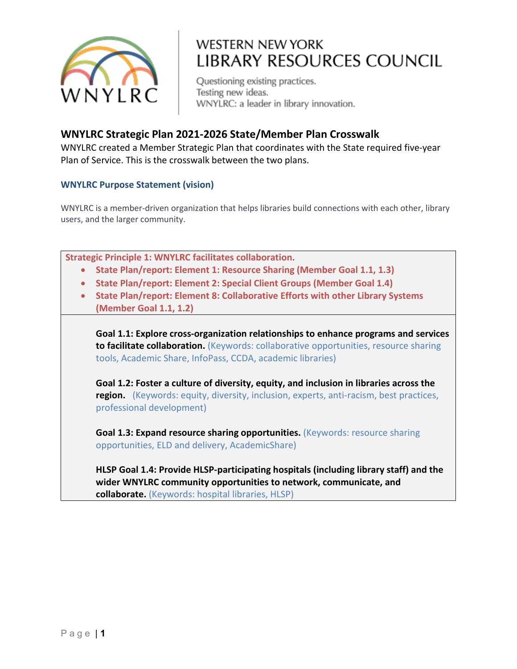

Questioning existing practices. Testing new ideas. WNYLRC: a leader in library innovation.

#### **WNYLRC Strategic Plan 2021-2026 State/Member Plan Crosswalk**

WNYLRC created a Member Strategic Plan that coordinates with the State required five-year Plan of Service. This is the crosswalk between the two plans.

#### **WNYLRC Purpose Statement (vision)**

WNYLRC is a member-driven organization that helps libraries build connections with each other, library users, and the larger community.

| <b>Strategic Principle 1: WNYLRC facilitates collaboration.</b> |                                                                                        |
|-----------------------------------------------------------------|----------------------------------------------------------------------------------------|
| $\bullet$                                                       | State Plan/report: Element 1: Resource Sharing (Member Goal 1.1, 1.3)                  |
| $\bullet$                                                       | State Plan/report: Element 2: Special Client Groups (Member Goal 1.4)                  |
| $\bullet$                                                       | State Plan/report: Element 8: Collaborative Efforts with other Library Systems         |
|                                                                 | (Member Goal 1.1, 1.2)                                                                 |
|                                                                 |                                                                                        |
|                                                                 | Goal 1.1: Explore cross-organization relationships to enhance programs and services    |
|                                                                 | to facilitate collaboration. (Keywords: collaborative opportunities, resource sharing  |
|                                                                 | tools, Academic Share, InfoPass, CCDA, academic libraries)                             |
|                                                                 |                                                                                        |
|                                                                 | Goal 1.2: Foster a culture of diversity, equity, and inclusion in libraries across the |
|                                                                 | region. (Keywords: equity, diversity, inclusion, experts, anti-racism, best practices, |
|                                                                 | professional development)                                                              |
|                                                                 |                                                                                        |
|                                                                 | <b>Goal 1.3: Expand resource sharing opportunities.</b> (Keywords: resource sharing    |
|                                                                 | opportunities, ELD and delivery, AcademicShare)                                        |
|                                                                 | HLSP Goal 1.4: Provide HLSP-participating hospitals (including library staff) and the  |
|                                                                 | wider WNYLRC community opportunities to network, communicate, and                      |
|                                                                 | <b>collaborate.</b> (Keywords: hospital libraries, HLSP)                               |
|                                                                 |                                                                                        |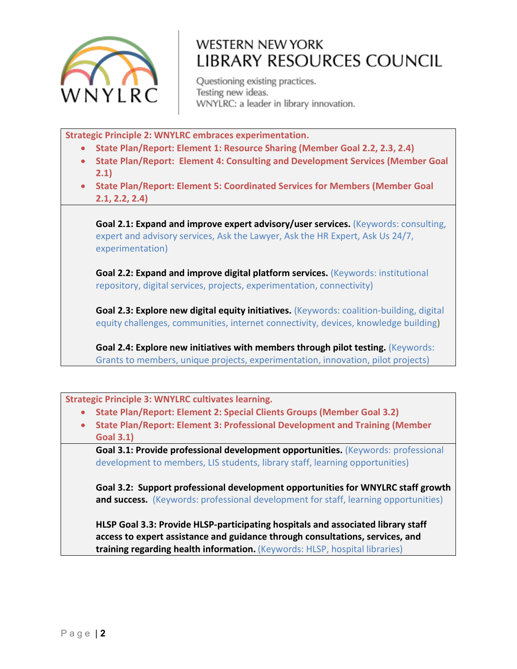

Questioning existing practices. Testing new ideas. WNYLRC: a leader in library innovation.

**Strategic Principle 2: WNYLRC embraces experimentation.**

- **State Plan/Report: Element 1: Resource Sharing (Member Goal 2.2, 2.3, 2.4)**
- **State Plan/Report: Element 4: Consulting and Development Services (Member Goal 2.1)**
- **State Plan/Report: Element 5: Coordinated Services for Members (Member Goal 2.1, 2.2, 2.4)**

**Goal 2.1: Expand and improve expert advisory/user services.** (Keywords: consulting, expert and advisory services, Ask the Lawyer, Ask the HR Expert, Ask Us 24/7, experimentation)

**Goal 2.2: Expand and improve digital platform services.** (Keywords: institutional repository, digital services, projects, experimentation, connectivity)

**Goal 2.3: Explore new digital equity initiatives.** (Keywords: coalition-building, digital equity challenges, communities, internet connectivity, devices, knowledge building)

**Goal 2.4: Explore new initiatives with members through pilot testing.** (Keywords: Grants to members, unique projects, experimentation, innovation, pilot projects)

**Strategic Principle 3: WNYLRC cultivates learning.**

- **State Plan/Report: Element 2: Special Clients Groups (Member Goal 3.2)**
- **State Plan/Report: Element 3: Professional Development and Training (Member Goal 3.1)**

**Goal 3.1: Provide professional development opportunities.** (Keywords: professional development to members, LIS students, library staff, learning opportunities)

**Goal 3.2: Support professional development opportunities for WNYLRC staff growth and success.** (Keywords: professional development for staff, learning opportunities)

**HLSP Goal 3.3: Provide HLSP-participating hospitals and associated library staff access to expert assistance and guidance through consultations, services, and training regarding health information.** (Keywords: HLSP, hospital libraries)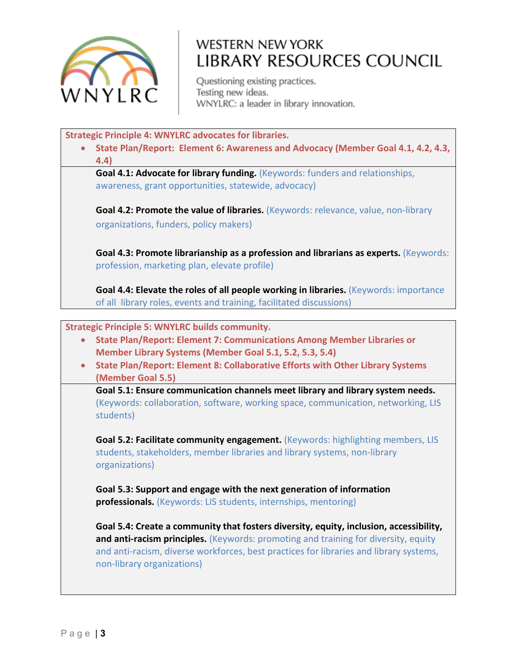

Questioning existing practices. Testing new ideas. WNYLRC: a leader in library innovation.

**Strategic Principle 4: WNYLRC advocates for libraries.**

• **State Plan/Report: Element 6: Awareness and Advocacy (Member Goal 4.1, 4.2, 4.3, 4.4)**

**Goal 4.1: Advocate for library funding.** (Keywords: funders and relationships, awareness, grant opportunities, statewide, advocacy)

**Goal 4.2: Promote the value of libraries.** (Keywords: relevance, value, non-library organizations, funders, policy makers)

**Goal 4.3: Promote librarianship as a profession and librarians as experts.** (Keywords: profession, marketing plan, elevate profile)

**Goal 4.4: Elevate the roles of all people working in libraries.** (Keywords: importance of all library roles, events and training, facilitated discussions)

**Strategic Principle 5: WNYLRC builds community.**

- **State Plan/Report: Element 7: Communications Among Member Libraries or Member Library Systems (Member Goal 5.1, 5.2, 5.3, 5.4)**
- **State Plan/Report: Element 8: Collaborative Efforts with Other Library Systems (Member Goal 5.5)**

**Goal 5.1: Ensure communication channels meet library and library system needs.** (Keywords: collaboration, software, working space, communication, networking, LIS students)

**Goal 5.2: Facilitate community engagement.** (Keywords: highlighting members, LIS students, stakeholders, member libraries and library systems, non-library organizations)

**Goal 5.3: Support and engage with the next generation of information professionals.** (Keywords: LIS students, internships, mentoring)

**Goal 5.4: Create a community that fosters diversity, equity, inclusion, accessibility, and anti-racism principles.** (Keywords: promoting and training for diversity, equity and anti-racism, diverse workforces, best practices for libraries and library systems, non-library organizations)